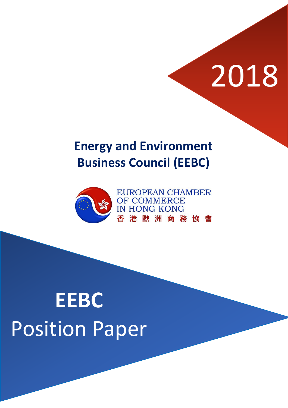# 2018

### **Energy and Environment Business Council (EEBC)**



## **EEBC** Position Paper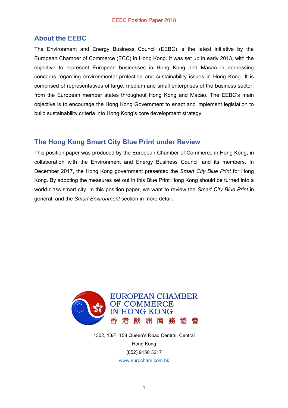#### **About the EEBC**

The Environment and Energy Business Council (EEBC) is the latest initiative by the European Chamber of Commerce (ECC) in Hong Kong. It was set up in early 2013, with the objective to represent European businesses in Hong Kong and Macao in addressing concerns regarding environmental protection and sustainability issues in Hong Kong. It is comprised of representatives of large, medium and small enterprises of the business sector, from the European member states throughout Hong Kong and Macao. The EEBC's main objective is to encourage the Hong Kong Government to enact and implement legislation to build sustainability criteria into Hong Kong's core development strategy.

#### **The Hong Kong Smart City Blue Print under Review**

This position paper was produced by the European Chamber of Commerce in Hong Kong, in collaboration with the Environment and Energy Business Council and its members. In December 2017, the Hong Kong government presented the *Smart City Blue Print* for Hong Kong. By adopting the measures set out in this Blue Print Hong Kong should be turned into a world-class smart city. In this position paper, we want to review the *Smart City Blue Print* in general, and the *Smart Environment* section in more detail.



1302, 13/F, 158 Queen's Road Central, Central Hong Kong (852) 9150 3217 [www.eurocham.com.hk](http://www.eurocham.com.hk/)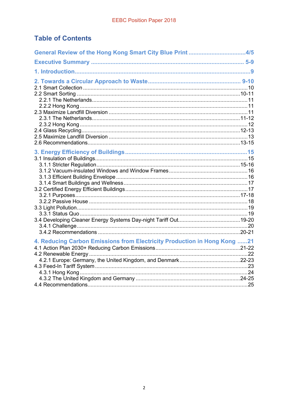#### **Table of Contents**

| General Review of the Hong Kong Smart City Blue Print 4/5                |  |
|--------------------------------------------------------------------------|--|
|                                                                          |  |
|                                                                          |  |
|                                                                          |  |
|                                                                          |  |
|                                                                          |  |
| 4. Reducing Carbon Emissions from Electricity Production in Hong Kong 21 |  |
|                                                                          |  |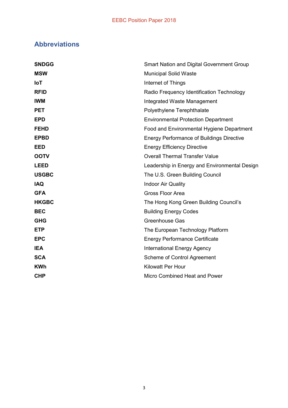#### **Abbreviations**

| <b>SNDGG</b> | <b>Smart Nation and Digital Government Group</b> |
|--------------|--------------------------------------------------|
| <b>MSW</b>   | <b>Municipal Solid Waste</b>                     |
| <b>IoT</b>   | Internet of Things                               |
| <b>RFID</b>  | Radio Frequency Identification Technology        |
| <b>IWM</b>   | Integrated Waste Management                      |
| <b>PET</b>   | Polyethylene Terephthalate                       |
| <b>EPD</b>   | <b>Environmental Protection Department</b>       |
| <b>FEHD</b>  | Food and Environmental Hygiene Department        |
| <b>EPBD</b>  | <b>Energy Performance of Buildings Directive</b> |
| <b>EED</b>   | <b>Energy Efficiency Directive</b>               |
| <b>OOTV</b>  | <b>Overall Thermal Transfer Value</b>            |
| <b>LEED</b>  | Leadership in Energy and Environmental Design    |
| <b>USGBC</b> | The U.S. Green Building Council                  |
| <b>IAQ</b>   | <b>Indoor Air Quality</b>                        |
| <b>GFA</b>   | Gross Floor Area                                 |
| <b>HKGBC</b> | The Hong Kong Green Building Council's           |
| <b>BEC</b>   | <b>Building Energy Codes</b>                     |
| <b>GHG</b>   | Greenhouse Gas                                   |
| <b>ETP</b>   | The European Technology Platform                 |
| <b>EPC</b>   | <b>Energy Performance Certificate</b>            |
| <b>IEA</b>   | <b>International Energy Agency</b>               |
| <b>SCA</b>   | Scheme of Control Agreement                      |
| <b>KWh</b>   | <b>Kilowatt Per Hour</b>                         |
| <b>CHP</b>   | Micro Combined Heat and Power                    |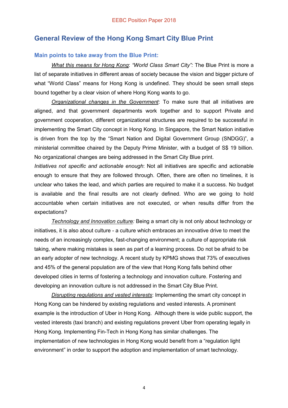#### **General Review of the Hong Kong Smart City Blue Print**

#### **Main points to take away from the Blue Print:**

*What this means for Hong Kong*: *"World Class Smart City":* The Blue Print is more a list of separate initiatives in different areas of society because the vision and bigger picture of what "World Class" means for Hong Kong is undefined. They should be seen small steps bound together by a clear vision of where Hong Kong wants to go.

*Organizational changes in the Government*: To make sure that all initiatives are aligned, and that government departments work together and to support Private and government cooperation, different organizational structures are required to be successful in implementing the Smart City concept in Hong Kong. In Singapore, the Smart Nation initiative is driven from the top by the "Smart Nation and Digital Government Group (SNDGG)", a ministerial committee chaired by the Deputy Prime Minister, with a budget of S\$ 19 billion. No organizational changes are being addressed in the Smart City Blue print.

*Initiatives not specific and actionable enough*: Not all initiatives are specific and actionable enough to ensure that they are followed through. Often, there are often no timelines, it is unclear who takes the lead, and which parties are required to make it a success. No budget is available and the final results are not clearly defined. Who are we going to hold accountable when certain initiatives are not executed, or when results differ from the expectations?

*Technology and Innovation culture:* Being a smart city is not only about technology or initiatives, it is also about culture - a culture which embraces an innovative drive to meet the needs of an increasingly complex, fast-changing environment; a culture of appropriate risk taking, where making mistakes is seen as part of a learning process. Do not be afraid to be an early adopter of new technology. A recent study by KPMG shows that 73% of executives and 45% of the general population are of the view that Hong Kong falls behind other developed cities in terms of fostering a technology and innovation culture. Fostering and developing an innovation culture is not addressed in the Smart City Blue Print.

*Disrupting regulations and vested interests*: Implementing the smart city concept in Hong Kong can be hindered by existing regulations and vested interests. A prominent example is the introduction of Uber in Hong Kong. Although there is wide public support, the vested interests (taxi branch) and existing regulations prevent Uber from operating legally in Hong Kong. Implementing Fin-Tech in Hong Kong has similar challenges. The implementation of new technologies in Hong Kong would benefit from a "regulation light environment" in order to support the adoption and implementation of smart technology.

4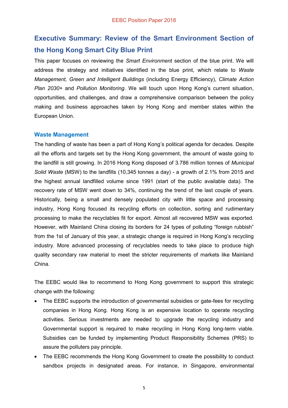#### **Executive Summary: Review of the Smart Environment Section of the Hong Kong Smart City Blue Print**

This paper focuses on reviewing the *Smart Environment* section of the blue print. We will address the strategy and initiatives identified in the blue print, which relate to *Waste Management, Green and Intelligent Buildings* (including Energy Efficiency), *Climate Action Plan 2030+* and *Pollution Monitoring*. We will touch upon Hong Kong's current situation, opportunities, and challenges, and draw a comprehensive comparison between the policy making and business approaches taken by Hong Kong and member states within the European Union.

#### **Waste Management**

The handling of waste has been a part of Hong Kong's political agenda for decades. Despite all the efforts and targets set by the Hong Kong government, the amount of waste going to the landfill is still growing. In 2016 Hong Kong disposed of 3.786 million tonnes of *Municipal Solid Waste* (MSW) to the landfills (10,345 tonnes a day) - a growth of 2.1% from 2015 and the highest annual landfilled volume since 1991 (start of the public available data). The recovery rate of MSW went down to 34%, continuing the trend of the last couple of years. Historically, being a small and densely populated city with little space and processing industry, Hong Kong focused its recycling efforts on collection, sorting and rudimentary processing to make the recyclables fit for export. Almost all recovered MSW was exported. However, with Mainland China closing its borders for 24 types of polluting "foreign rubbish" from the 1st of January of this year, a strategic change is required in Hong Kong's recycling industry. More advanced processing of recyclables needs to take place to produce high quality secondary raw material to meet the stricter requirements of markets like Mainland China.

The EEBC would like to recommend to Hong Kong government to support this strategic change with the following:

- The EEBC supports the introduction of governmental subsidies or gate-fees for recycling companies in Hong Kong. Hong Kong is an expensive location to operate recycling activities. Serious investments are needed to upgrade the recycling industry and Governmental support is required to make recycling in Hong Kong long-term viable. Subsidies can be funded by implementing Product Responsibility Schemes (PRS) to assure the polluters pay principle.
- The EEBC recommends the Hong Kong Government to create the possibility to conduct sandbox projects in designated areas. For instance, in Singapore, environmental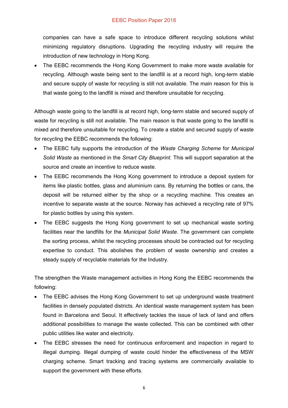#### EEBC Position Paper 2018

companies can have a safe space to introduce different recycling solutions whilst minimizing regulatory disruptions. Upgrading the recycling industry will require the introduction of new technology in Hong Kong.

The EEBC recommends the Hong Kong Government to make more waste available for recycling. Although waste being sent to the landfill is at a record high, long-term stable and secure supply of waste for recycling is still not available. The main reason for this is that waste going to the landfill is mixed and therefore unsuitable for recycling.

Although waste going to the landfill is at record high, long-term stable and secured supply of waste for recycling is still not available. The main reason is that waste going to the landfill is mixed and therefore unsuitable for recycling. To create a stable and secured supply of waste for recycling the EEBC recommends the following:

- x The EEBC fully supports the introduction of the *Waste Charging Scheme* for *Municipal Solid Waste* as mentioned in the *Smart City Blueprint*. This will support separation at the source and create an incentive to reduce waste.
- The EEBC recommends the Hong Kong government to introduce a deposit system for items like plastic bottles, glass and aluminium cans. By returning the bottles or cans, the deposit will be returned either by the shop or a recycling machine. This creates an incentive to separate waste at the source. Norway has achieved a recycling rate of 97% for plastic bottles by using this system.
- The EEBC suggests the Hong Kong government to set up mechanical waste sorting facilities near the landfills for the *Municipal Solid Waste*. The government can complete the sorting process, whilst the recycling processes should be contracted out for recycling expertise to conduct. This abolishes the problem of waste ownership and creates a steady supply of recyclable materials for the Industry.

The strengthen the Waste management activities in Hong Kong the EEBC recommends the following:

- The EEBC advises the Hong Kong Government to set up underground waste treatment facilities in densely populated districts. An identical waste management system has been found in Barcelona and Seoul. It effectively tackles the issue of lack of land and offers additional possibilities to manage the waste collected. This can be combined with other public utilities like water and electricity.
- The EEBC stresses the need for continuous enforcement and inspection in regard to illegal dumping. Illegal dumping of waste could hinder the effectiveness of the MSW charging scheme. Smart tracking and tracing systems are commercially available to support the government with these efforts.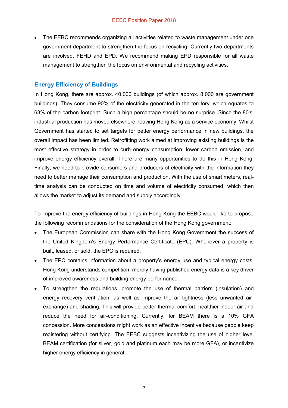The EEBC recommends organizing all activities related to waste management under one government department to strengthen the focus on recycling. Currently two departments are involved, FEHD and EPD. We recommend making EPD responsible for all waste management to strengthen the focus on environmental and recycling activities.

#### **Energy Efficiency of Buildings**

In Hong Kong, there are approx. 40,000 buildings (of which approx. 8,000 are government buildings). They consume 90% of the electricity generated in the territory, which equates to 63% of the carbon footprint. Such a high percentage should be no surprise. Since the 80's, industrial production has moved elsewhere, leaving Hong Kong as a service economy. Whilst Government has started to set targets for better energy performance in new buildings, the overall impact has been limited. Retrofitting work aimed at improving existing buildings is the most effective strategy in order to curb energy consumption, lower carbon emission, and improve energy efficiency overall. There are many opportunities to do this in Hong Kong. Finally, we need to provide consumers and producers of electricity with the information they need to better manage their consumption and production. With the use of smart meters, realtime analysis can be conducted on time and volume of electricity consumed, which then allows the market to adjust its demand and supply accordingly.

To improve the energy efficiency of buildings in Hong Kong the EEBC would like to propose the following recommendations for the consideration of the Hong Kong government:

- The European Commission can share with the Hong Kong Government the success of the United Kingdom's Energy Performance Certificate (EPC). Whenever a property is built, leased, or sold, the EPC is required.
- The EPC contains information about a property's energy use and typical energy costs. Hong Kong understands competition; merely having published energy data is a key driver of improved awareness and building energy performance.
- To strengthen the regulations, promote the use of thermal barriers (insulation) and energy recovery ventilation, as well as improve the air-tightness (less unwanted airexchange) and shading. This will provide better thermal comfort, healthier indoor air and reduce the need for air-conditioning. Currently, for BEAM there is a 10% GFA concession. More concessions might work as an effective incentive because people keep registering without certifying. The EEBC suggests incentivizing the use of higher level BEAM certification (for silver, gold and platinum each may be more GFA), or incentivize higher energy efficiency in general.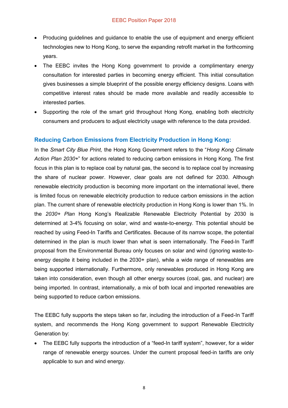- Producing guidelines and guidance to enable the use of equipment and energy efficient technologies new to Hong Kong, to serve the expanding retrofit market in the forthcoming years.
- The EEBC invites the Hong Kong government to provide a complimentary energy consultation for interested parties in becoming energy efficient. This initial consultation gives businesses a simple blueprint of the possible energy efficiency designs. Loans with competitive interest rates should be made more available and readily accessible to interested parties.
- Supporting the role of the smart grid throughout Hong Kong, enabling both electricity consumers and producers to adjust electricity usage with reference to the data provided.

#### **Reducing Carbon Emissions from Electricity Production in Hong Kong:**

In the *Smart City Blue Print,* the Hong Kong Government refers to the "*Hong Kong Climate Action Plan 2030+*" for actions related to reducing carbon emissions in Hong Kong. The first focus in this plan is to replace coal by natural gas, the second is to replace coal by increasing the share of nuclear power. However, clear goals are not defined for 2030. Although renewable electricity production is becoming more important on the international level, there is limited focus on renewable electricity production to reduce carbon emissions in the action plan. The current share of renewable electricity production in Hong Kong is lower than 1%. In the *2030+ Plan* Hong Kong's Realizable Renewable Electricity Potential by 2030 is determined at 3-4% focusing on solar, wind and waste-to-energy. This potential should be reached by using Feed-In Tariffs and Certificates. Because of its narrow scope, the potential determined in the plan is much lower than what is seen internationally. The Feed-In Tariff proposal from the Environmental Bureau only focuses on solar and wind (ignoring waste-toenergy despite it being included in the 2030+ plan), while a wide range of renewables are being supported internationally. Furthermore, only renewables produced in Hong Kong are taken into consideration, even though all other energy sources (coal, gas, and nuclear) are being imported. In contrast, internationally, a mix of both local and imported renewables are being supported to reduce carbon emissions.

The EEBC fully supports the steps taken so far, including the introduction of a Feed-In Tariff system, and recommends the Hong Kong government to support Renewable Electricity Generation by:

The EEBC fully supports the introduction of a "feed-In tariff system", however, for a wider range of renewable energy sources. Under the current proposal feed-in tariffs are only applicable to sun and wind energy.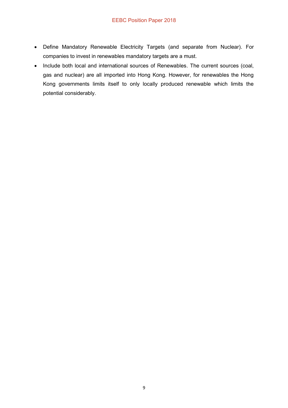- Define Mandatory Renewable Electricity Targets (and separate from Nuclear). For companies to invest in renewables mandatory targets are a must.
- Include both local and international sources of Renewables. The current sources (coal, gas and nuclear) are all imported into Hong Kong. However, for renewables the Hong Kong governments limits itself to only locally produced renewable which limits the potential considerably.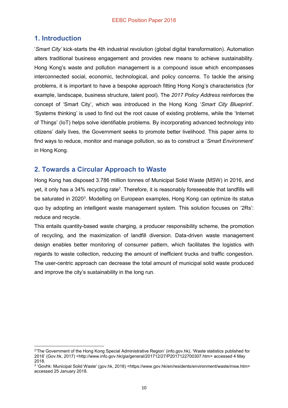#### **1. Introduction**

'*Smart City'* kick-starts the 4th industrial revolution (global digital transformation). Automation alters traditional business engagement and provides new means to achieve sustainability. Hong Kong's waste and pollution management is a compound issue which encompasses interconnected social, economic, technological, and policy concerns. To tackle the arising problems, it is important to have a bespoke approach fitting Hong Kong's characteristics (for example, landscape, business structure, talent pool). The *2017 Policy Address* reinforces the concept of 'Smart City', which was introduced in the Hong Kong '*Smart City Blueprint*'. 'Systems thinking' is used to find out the root cause of existing problems, while the 'Internet of Things' (IoT) helps solve identifiable problems. By incorporating advanced technology into citizens' daily lives, the Government seeks to promote better livelihood. This paper aims to find ways to reduce, monitor and manage pollution, so as to construct a '*Smart Environment*' in Hong Kong.

#### **2. Towards a Circular Approach to Waste**

Hong Kong has disposed 3.786 million tonnes of Municipal Solid Waste (MSW) in 2016, and yet, it only has a 34% recycling rate<sup>2</sup>. Therefore, it is reasonably foreseeable that landfills will be saturated in 2020<sup>3</sup>. Modelling on European examples, Hong Kong can optimize its status quo by adopting an intelligent waste management system. This solution focuses on '2Rs': reduce and recycle.

This entails quantity-based waste charging, a producer responsibility scheme, the promotion of recycling, and the maximization of landfill diversion. Data-driven waste management design enables better monitoring of consumer pattern, which facilitates the logistics with regards to waste collection, reducing the amount of inefficient trucks and traffic congestion. The user-centric approach can decrease the total amount of municipal solid waste produced and improve the city's sustainability in the long run.

 $\overline{a}$ <sup>2</sup>'The Government of the Hong Kong Special Administrative Region' (info.gov.hk), 'Waste statistics published for 2016' (Gov.hk, 2017) [<http://www.info.gov.hk/gia/general/201712/27/P2017122700307.htm>](http://www.info.gov.hk/gia/general/201712/27/P2017122700307.htm) accessed 4 May 2018.

<sup>3</sup> 'Govhk: Municipal Solid Waste' (gov.hk, 2018) <https://www.gov.hk/en/residents/environment/waste/msw.htm> accessed 25 January 2018.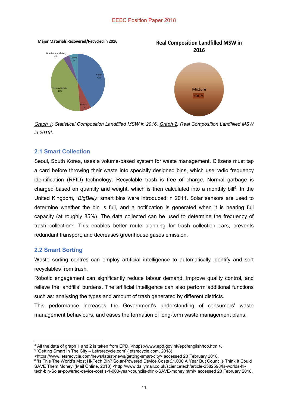

*Graph 1: Statistical Composition Landfilled MSW in 2016. Graph 2: Real Composition Landfilled MSW in 20164.*

#### **2.1 Smart Collection**

Seoul, South Korea, uses a volume-based system for waste management. Citizens must tap a card before throwing their waste into specially designed bins, which use radio frequency identification (RFID) technology. Recyclable trash is free of charge. Normal garbage is charged based on quantity and weight, which is then calculated into a monthly bill<sup>5</sup>. In the United Kingdom, '*BigBelly'* smart bins were introduced in 2011. Solar sensors are used to determine whether the bin is full, and a notification is generated when it is nearing full capacity (at roughly 85%). The data collected can be used to determine the frequency of trash collection<sup>6</sup>. This enables better route planning for trash collection cars, prevents redundant transport, and decreases greenhouse gases emission.

#### **2.2 Smart Sorting**

Waste sorting centres can employ artificial intelligence to automatically identify and sort recyclables from trash.

Robotic engagement can significantly reduce labour demand, improve quality control, and relieve the landfills' burdens. The artificial intelligence can also perform additional functions such as: analysing the types and amount of trash generated by different districts.

This performance increases the Government's understanding of consumers' waste management behaviours, and eases the formation of long-term waste management plans.

 $\overline{a}$ <sup>4</sup> All the data of graph 1 and 2 is taken from EPD, [<https://www.epd.gov.hk/epd/english/top.html>](https://www.epd.gov.hk/epd/english/top.html).

<sup>5</sup> 'Getting Smart In The City – Letrsrecycle.com' (letsrecycle.com, 2018)

[<sup>&</sup>lt;https://www.letsrecycle.com/news/latest-news/getting-smart-city>](https://www.letsrecycle.com/news/latest-news/getting-smart-city) accessed 23 February 2018.

<sup>6</sup> 'Is This The World's Most Hi-Tech Bin? Solar-Powered Device Costs £1,000 A Year But Councils Think It Could SAVE Them Money' (Mail Online, 2018) <http://www.dailymail.co.uk/sciencetech/article-2382598/ls-worlds-hitech-bin-Solar-powered-device-cost s-1-000-year-councils-think-SAVE-money.html> accessed 23 February 2018.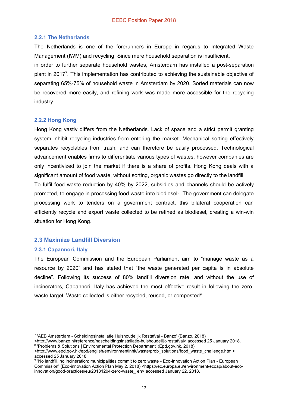#### **2.2.1 The Netherlands**

The Netherlands is one of the forerunners in Europe in regards to Integrated Waste Management (IWM) and recycling. Since mere household separation is insufficient,

in order to further separate household wastes, Amsterdam has installed a post-separation plant in 2017<sup>7</sup>. This implementation has contributed to achieving the sustainable objective of separating 65%-75% of household waste in Amsterdam by 2020. Sorted materials can now be recovered more easily, and refining work was made more accessible for the recycling industry.

#### **2.2.2 Hong Kong**

Hong Kong vastly differs from the Netherlands. Lack of space and a strict permit granting system inhibit recycling industries from entering the market. Mechanical sorting effectively separates recyclables from trash, and can therefore be easily processed. Technological advancement enables firms to differentiate various types of wastes, however companies are only incentivized to join the market if there is a share of profits. Hong Kong deals with a significant amount of food waste, without sorting, organic wastes go directly to the landfill.

To fulfil food waste reduction by 40% by 2022, subsidies and channels should be actively promoted, to engage in processing food waste into biodiesel<sup>8</sup>. The government can delegate processing work to tenders on a government contract, this bilateral cooperation can efficiently recycle and export waste collected to be refined as biodiesel, creating a win-win situation for Hong Kong.

#### **2.3 Maximize Landfill Diversion**

#### **2.3.1 Capannori, Italy**

The European Commission and the European Parliament aim to "manage waste as a resource by 2020" and has stated that "the waste generated per capita is in absolute decline". Following its success of 80% landfill diversion rate, and without the use of incinerators, Capannori, Italy has achieved the most effective result in following the zerowaste target. Waste collected is either recycled, reused, or composted $^9$ .

 $\overline{a}$ <sup>7</sup> 'AEB Amsterdam - Scheidingsinstallatie Huishoudelijk Restafval - Banzo' (Banzo, 2018)

<sup>&</sup>lt;http://www.banzo.nl/reference/nascheidingsinstallatie-huishoudelijk-restafval> accessed 25 January 2018. <sup>8</sup> 'Problems & Solutions | Environmental Protection Department' (Epd.gov.hk, 2018)

<sup>&</sup>lt;http://www.epd.gov.hk/epd/english/environmentinhk/waste/prob\_solutions/food\_waste\_challenge.html> accessed 25 January 2018.

<sup>9 &#</sup>x27;No landfill, no incineration: municipalities commit to zero waste - Eco-Innovation Action Plan - European Commission' (Eco-innovation Action Plan May 2, 2018) <https://ec.europa.eu/environment/ecoap/about-ecoinnovation/good-practices/eu/20131204-zero-waste\_ en> accessed January 22, 2018.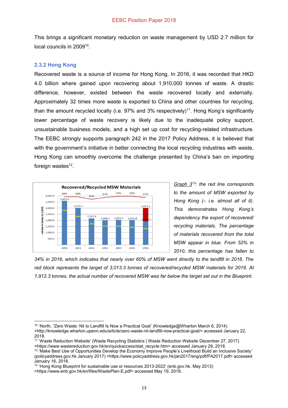This brings a significant monetary reduction on waste management by USD 2.7 million for local councils in 2009<sup>10</sup>.

#### **2.3.2 Hong Kong**

 $\overline{a}$ 

Recovered waste is a source of income for Hong Kong. In 2016, it was recorded that HKD 4.0 billion where gained upon recovering about 1,910,000 tonnes of waste. A drastic difference, however, existed between the waste recovered locally and externally. Approximately 32 times more waste is exported to China and other countries for recycling, than the amount recycled locally (i.e. 97% and 3% respectively)<sup>11</sup>. Hong Kong's significantly lower percentage of waste recovery is likely due to the inadequate policy support, unsustainable business models, and a high set up cost for recycling-related infrastructure. The EEBC strongly supports paragraph 242 in the 2017 Policy Address, it is believed that with the government's initiative in better connecting the local recycling industries with waste, Hong Kong can smoothly overcome the challenge presented by China's ban on importing foreign wastes $12$ .



*Graph 313: the red line corresponds to the amount of MSW exported by Hong Kong (– i.e. almost all of it). This demonstrates Hong Kong's dependency the export of recovered/ recycling materials. The percentage of materials recovered from the total MSW appear in blue. From 52% in 2010, this percentage has fallen to* 

*34% in 2016, which indicates that nearly over 60% of MSW went directly to the landfill in 2016. The red block represents the target of 3,013.3 tonnes of recovered/recycled MSW materials for 2016. At 1,912.3 tonnes, the actual number of recovered MSW was far below the target set out in the Blueprint.*

<sup>10</sup> 'North, "Zero Waste: Nil to Landfill Is Now a Practical Goal' (Knowledge@Wharton March 6, 2014) <http://knowledge.wharton.upenn.edu/article/zero-waste-nil-landfill-now-practical-goal/> accessed January 22, 2018.

<sup>11</sup> 'Waste Reduction Website' (Waste Recycling Statistics | Waste Reduction Website December 27, 2017) <https://www.wastereduction.gov.hk/en/quickaccess/stat\_recycle.htm> accessed January 29, 2018.

<sup>&</sup>lt;sup>12</sup> 'Make Best Use of Opportunities Develop the Economy Improve People's Livelihood Build an Inclusive Society' (policyaddress.gov.hk January 2017) <https://www.policyaddress.gov.hk/jan2017/eng/pdf/PA2017.pdf> accessed January 16, 2018.

<sup>&</sup>lt;sup>13</sup> 'Hong Kong Blueprint for sustainable use or resources 2013-2022' (enb.gov.hk, May 2013)

[<sup>&</sup>lt;https://www.enb.gov.hk/en/files/WastePlan-E.pdf>](https://www.enb.gov.hk/en/files/WastePlan-E.pdf) accessed May 19, 2018.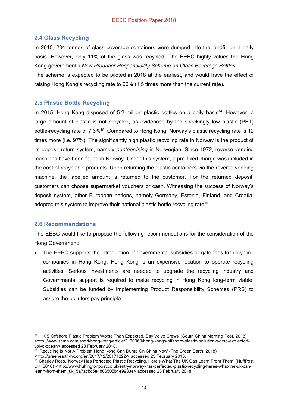#### **2.4 Glass Recycling**

In 2015, 204 tonnes of glass beverage containers were dumped into the landfill on a daily basis. However, only 11% of the glass was recycled. The EEBC highly values the Hong Kong government's *New Producer Responsibility Scheme on Glass Beverage Bottles*.

The scheme is expected to be piloted in 2018 at the earliest, and would have the effect of raising Hong Kong's recycling rate to 60% (1.5 times more than the current rate).

#### **2.5 Plastic Bottle Recycling**

In 2015, Hong Kong disposed of 5.2 million plastic bottles on a daily basis<sup>14</sup>. However, a large amount of plastic is not recycled, as evidenced by the shockingly low plastic (PET) bottle-recycling rate of 7.6%<sup>15</sup>. Compared to Hong Kong, Norway's plastic recycling rate is 12 times more (i.e. 97%). The significantly high plastic recycling rate in Norway is the product of its deposit return system, namely *panteordning* in Norwegian. Since 1972, reverse vending machines have been found in Norway. Under this system, a pre-fixed charge was included in the cost of recyclable products. Upon returning the plastic containers via the reverse vending machine, the labelled amount is returned to the customer. For the returned deposit, customers can choose supermarket vouchers or cash. Witnessing the success of Norway's deposit system, other European nations, namely Germany, Estonia, Finland, and Croatia, adopted this system to improve their national plastic bottle recycling rate<sup>16</sup>.

#### **2.6 Recommendations**

The EEBC would like to propose the following recommendations for the consideration of the Hong Government:

The EEBC supports the introduction of governmental subsidies or gate-fees for recycling companies in Hong Kong. Hong Kong is an expensive location to operate recycling activities. Serious investments are needed to upgrade the recycling industry and Governmental support is required to make recycling in Hong Kong long-term viable. Subsidies can be funded by implementing Product Responsibility Schemes (PRS) to assure the polluters pay principle.

 $\overline{a}$ <sup>14</sup> 'HK'S Offshore Plastic Problem Worse Than Expected, Say Volvo Crews' (South China Morning Post, 2018) <http://www.scmp.com/sport/hong-kong/article/2130069/hong-kongs-offshore-plastic-pollution-worse-exp ectedvolvo-ocean> accessed 23 February 2018.

<sup>&</sup>lt;sup>15</sup> 'Recycling Is Not A Problem Hong Kong Can Dump On China Now' (The Green Earth, 2018)

<sup>&</sup>lt;http://greenearth-hk.org/en/2017/12/20171222/> accessed 23 February 2018.

<sup>16</sup> Charley Ross, 'Norway Has Perfected Plastic Recycling, Here's What The UK Can Learn From Them' (HuffPost UK, 2018) <http://www.huffingtonpost.co.uk/entry/norway-has-perfected-plastic-recycling-heres-what-the-uk-canlear n-from-them\_uk\_5a7acbc5e4b06505b4e9983e> accessed 23 February 2018.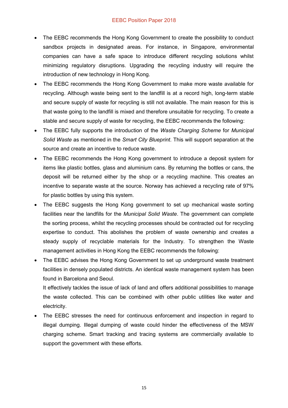#### EEBC Position Paper 2018

- The EEBC recommends the Hong Kong Government to create the possibility to conduct sandbox projects in designated areas. For instance, in Singapore, environmental companies can have a safe space to introduce different recycling solutions whilst minimizing regulatory disruptions. Upgrading the recycling industry will require the introduction of new technology in Hong Kong.
- The EEBC recommends the Hong Kong Government to make more waste available for recycling. Although waste being sent to the landfill is at a record high, long-term stable and secure supply of waste for recycling is still not available. The main reason for this is that waste going to the landfill is mixed and therefore unsuitable for recycling. To create a stable and secure supply of waste for recycling, the EEBC recommends the following:
- x The EEBC fully supports the introduction of the *Waste Charging Scheme* for *Municipal Solid Waste* as mentioned in the *Smart City Blueprint*. This will support separation at the source and create an incentive to reduce waste.
- The EEBC recommends the Hong Kong government to introduce a deposit system for items like plastic bottles, glass and aluminium cans. By returning the bottles or cans, the deposit will be returned either by the shop or a recycling machine. This creates an incentive to separate waste at the source. Norway has achieved a recycling rate of 97% for plastic bottles by using this system.
- The EEBC suggests the Hong Kong government to set up mechanical waste sorting facilities near the landfills for the *Municipal Solid Waste*. The government can complete the sorting process, whilst the recycling processes should be contracted out for recycling expertise to conduct. This abolishes the problem of waste ownership and creates a steady supply of recyclable materials for the Industry. To strengthen the Waste management activities in Hong Kong the EEBC recommends the following:
- The EEBC advises the Hong Kong Government to set up underground waste treatment facilities in densely populated districts. An identical waste management system has been found in Barcelona and Seoul.

It effectively tackles the issue of lack of land and offers additional possibilities to manage the waste collected. This can be combined with other public utilities like water and electricity.

The EEBC stresses the need for continuous enforcement and inspection in regard to illegal dumping. Illegal dumping of waste could hinder the effectiveness of the MSW charging scheme. Smart tracking and tracing systems are commercially available to support the government with these efforts.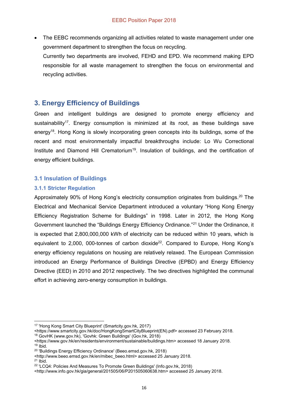The EEBC recommends organizing all activities related to waste management under one government department to strengthen the focus on recycling. Currently two departments are involved, FEHD and EPD. We recommend making EPD responsible for all waste management to strengthen the focus on environmental and recycling activities.

#### **3. Energy Efficiency of Buildings**

Green and intelligent buildings are designed to promote energy efficiency and sustainability<sup>17</sup>. Energy consumption is minimized at its root, as these buildings save energy<sup>18</sup>. Hong Kong is slowly incorporating green concepts into its buildings, some of the recent and most environmentally impactful breakthroughs include: Lo Wu Correctional Institute and Diamond Hill Crematorium<sup>19</sup>. Insulation of buildings, and the certification of energy efficient buildings.

#### **3.1 Insulation of Buildings**

#### **3.1.1 Stricter Regulation**

Approximately 90% of Hong Kong's electricity consumption originates from buildings.<sup>20</sup> The Electrical and Mechanical Service Department introduced a voluntary "Hong Kong Energy Efficiency Registration Scheme for Buildings" in 1998. Later in 2012, the Hong Kong Government launched the "Buildings Energy Efficiency Ordinance."<sup>21</sup> Under the Ordinance, it is expected that 2,800,000,000 kWh of electricity can be reduced within 10 years, which is equivalent to  $2,000$ , 000-tonnes of carbon dioxide<sup>22</sup>. Compared to Europe, Hong Kong's energy efficiency regulations on housing are relatively relaxed. The European Commission introduced an Energy Performance of Buildings Directive (EPBD) and Energy Efficiency Directive (EED) in 2010 and 2012 respectively. The two directives highlighted the communal effort in achieving zero-energy consumption in buildings.

 $21$  Ibid.

 $\overline{a}$ 

<sup>17</sup> 'Hong Kong Smart City Blueprint' (Smartcity.gov.hk, 2017)

<sup>&</sup>lt;https://www.smartcity.gov.hk/doc/HongKongSmartCityBlueprint(EN).pdf> accessed 23 February 2018. <sup>18</sup> GovHK (www.gov.hk), 'Govhk: Green Buildings' (Gov.hk, 2018)

<sup>&</sup>lt;https://www.gov.hk/en/residents/environment/sustainable/buildings.htm> accessed 18 January 2018.  $19$  Ibid.

<sup>20</sup> 'Buildings Energy Efficiency Ordinance' (Beeo.emsd.gov.hk, 2018)

<sup>&</sup>lt;http://www.beeo.emsd.gov.hk/en/mibec\_beeo.html> accessed 25 January 2018.

<sup>22</sup> 'LCQ4: Policies And Measures To Promote Green Buildings' (Info.gov.hk, 2018)

<sup>&</sup>lt;http://www.info.gov.hk/gia/general/201505/06/P201505060638.htm> accessed 25 January 2018.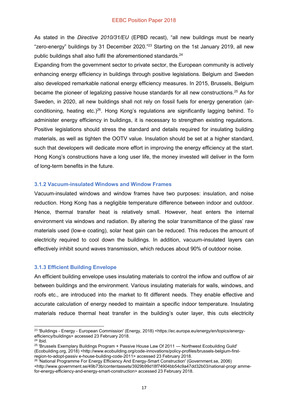As stated in the *Directive 2010/31/EU* (EPBD recast), "all new buildings must be nearly "zero-energy" buildings by 31 December 2020."<sup>23</sup> Starting on the 1st January 2019, all new public buildings shall also fulfil the aforementioned standards.<sup>24</sup>

Expanding from the government sector to private sector, the European community is actively enhancing energy efficiency in buildings through positive legislations. Belgium and Sweden also developed remarkable national energy efficiency measures. In 2015, Brussels, Belgium became the pioneer of legalizing passive house standards for all new constructions.<sup>25</sup> As for Sweden, in 2020, all new buildings shall not rely on fossil fuels for energy generation (airconditioning, heating etc.)<sup>26</sup>. Hong Kong's regulations are significantly lagging behind. To administer energy efficiency in buildings, it is necessary to strengthen existing regulations. Positive legislations should stress the standard and details required for insulating building materials, as well as tighten the OOTV value. Insulation should be set at a higher standard, such that developers will dedicate more effort in improving the energy efficiency at the start. Hong Kong's constructions have a long user life, the money invested will deliver in the form of long-term benefits in the future.

#### **3.1.2 Vacuum-insulated Windows and Window Frames**

Vacuum-insulated windows and window frames have two purposes: insulation, and noise reduction. Hong Kong has a negligible temperature difference between indoor and outdoor. Hence, thermal transfer heat is relatively small. However, heat enters the internal environment via windows and radiation. By altering the solar transmittance of the glass' raw materials used (low-e coating), solar heat gain can be reduced. This reduces the amount of electricity required to cool down the buildings. In addition, vacuum-insulated layers can effectively inhibit sound waves transmission, which reduces about 90% of outdoor noise.

#### **3.1.3 Efficient Building Envelope**

An efficient building envelope uses insulating materials to control the inflow and outflow of air between buildings and the environment. Various insulating materials for walls, windows, and roofs etc., are introduced into the market to fit different needs. They enable effective and accurate calculation of energy needed to maintain a specific indoor temperature. Insulating materials reduce thermal heat transfer in the building's outer layer, this cuts electricity

 $\overline{a}$ <sup>23</sup> 'Buildings - Energy - European Commission' (Energy, 2018) <https://ec.europa.eu/energy/en/topics/energyefficiency/buildings> accessed 23 February 2018.

 $24$  Ibid.

<sup>&</sup>lt;sup>25</sup> 'Brussels Exemplary Buildings Program + Passive House Law Of 2011 — Northwest Ecobuilding Guild' (Ecobuilding.org, 2018) <http://www.ecobuilding.org/code-innovations/policy-profiles/brussels-belgium-firstregion-to-adopt-passiv e-house-building-code-2011> accessed 23 February 2018.

<sup>&</sup>lt;sup>26</sup> 'National Programme For Energy Efficiency And Energy-Smart Construction' (Government.se, 2006) <http://www.government.se/49b73b/contentassets/3929b99d18f74904bb54c9a47dd32b03/national-progr ammefor-energy-efficiency-and-energy-smart-construction> accessed 23 February 2018.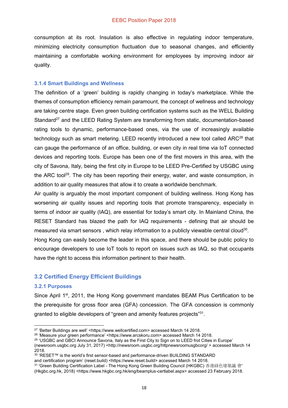consumption at its root. Insulation is also effective in regulating indoor temperature, minimizing electricity consumption fluctuation due to seasonal changes, and efficiently maintaining a comfortable working environment for employees by improving indoor air quality.

#### **3.1.4 Smart Buildings and Wellness**

The definition of a 'green' building is rapidly changing in today's marketplace. While the themes of consumption efficiency remain paramount, the concept of wellness and technology are taking centre stage. Even green building certification systems such as the WELL Building Standard<sup>27</sup> and the LEED Rating System are transforming from static, documentation-based rating tools to dynamic, performance-based ones, via the use of increasingly available technology such as smart metering. LEED recently introduced a new tool called ARC<sup>28</sup> that can gauge the performance of an office, building, or even city in real time via IoT connected devices and reporting tools. Europe has been one of the first movers in this area, with the city of Savona, Italy, being the first city in Europe to be LEED Pre-Certified by USGBC using the ARC tool<sup>29</sup>. The city has been reporting their energy, water, and waste consumption, in addition to air quality measures that allow it to create a worldwide benchmark.

Air quality is arguably the most important component of building wellness. Hong Kong has worsening air quality issues and reporting tools that promote transparency, especially in terms of indoor air quality (IAQ), are essential for today's smart city. In Mainland China, the RESET Standard has blazed the path for IAQ requirements - defining that air should be measured via smart sensors, which relay information to a publicly viewable central cloud<sup>30</sup>.

Hong Kong can easily become the leader in this space, and there should be public policy to encourage developers to use IoT tools to report on issues such as IAQ, so that occupants have the right to access this information pertinent to their health.

#### **3.2 Certified Energy Efficient Buildings**

#### **3.2.1 Purposes**

 $\overline{a}$ 

Since April  $1<sup>st</sup>$ , 2011, the Hong Kong government mandates BEAM Plus Certification to be the prerequisite for gross floor area (GFA) concession. The GFA concession is commonly granted to eligible developers of "green and amenity features projects"<sup>31</sup>.

<sup>&</sup>lt;sup>27</sup> 'Better Buildings are well' <https://www.wellcertified.com> accessed March 14 2018. <sup>28</sup> 'Measure your green performance' <https://www.arcskoru.com> accessed March 14 2018.

<sup>29</sup> 'USGBC and GBCI Announce Savona, Italy as the First City to Sign on to LEED frot Cities in Europe' (newsroom.usgbc.org July 31, 2017) <http://newsroom.usgbc.org/httpnewsroomusgbcorg/ > accessed March 14 2018.

<sup>&</sup>lt;sup>30</sup> 'RESET™ is the world's first sensor-based and performance-driven BUILDING STANDARD and certification program' (reset.build) <https://www.reset.build> accessed March 14 2018.

<sup>31</sup> 'Green Building Certification Label - The Hong Kong Green Building Council (HKGBC) 香港綠色建築議 會' (Hkgbc.org.hk, 2018) <https://www.hkgbc.org.hk/eng/beamplus-certlabel.aspx> accessed 23 February 2018.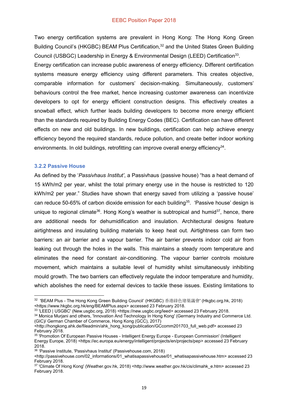Two energy certification systems are prevalent in Hong Kong: The Hong Kong Green Building Council's (HKGBC) BEAM Plus Certification,<sup>32</sup> and the United States Green Building Council (USBGC) Leadership in Energy & Environmental Design (LEED) Certification33.

Energy certification can increase public awareness of energy efficiency. Different certification systems measure energy efficiency using different parameters. This creates objective, comparable information for customers' decision-making. Simultaneously, customers' behaviours control the free market, hence increasing customer awareness can incentivize developers to opt for energy efficient construction designs. This effectively creates a snowball effect, which further leads building developers to become more energy efficient than the standards required by Building Energy Codes (BEC). Certification can have different effects on new and old buildings. In new buildings, certification can help achieve energy efficiency beyond the required standards, reduce pollution, and create better indoor working environments. In old buildings, retrofitting can improve overall energy efficiency<sup>34</sup>.

#### **3.2.2 Passive House**

1

As defined by the '*Passivhaus Institut'*, a Passivhaus (passive house) "has a heat demand of 15 kWh/m2 per year, whilst the total primary energy use in the house is restricted to 120 kWh/m2 per year." Studies have shown that energy saved from utilizing a 'passive house' can reduce 50-65% of carbon dioxide emission for each building<sup>35</sup>. 'Passive house' design is unique to regional climate<sup>36</sup>. Hong Kong's weather is subtropical and humid<sup>37</sup>, hence, there are additional needs for dehumidification and insulation. Architectural designs feature airtightness and insulating building materials to keep heat out. Airtightness can form two barriers: an air barrier and a vapour barrier. The air barrier prevents indoor cold air from leaking out through the holes in the walls. This maintains a steady room temperature and eliminates the need for constant air-conditioning. The vapour barrier controls moisture movement, which maintains a suitable level of humidity whilst simultaneously inhibiting mould growth. The two barriers can effectively regulate the indoor temperature and humidity, which abolishes the need for external devices to tackle these issues. Existing limitations to

<sup>32 &#</sup>x27;BEAM Plus - The Hong Kong Green Building Council' (HKGBC) 香港綠色建築議會' (Hkgbc.org.hk, 2018) <https://www.hkgbc.org.hk/eng/BEAMPlus.aspx> accessed 23 February 2018.

<sup>33</sup> 'LEED | USGBC' (New.usgbc.org, 2018) <https://new.usgbc.org/leed> accessed 23 February 2018.

<sup>34</sup> Monica Murjani and others, 'Innovation And Technology In Hong Kong' (Germany Industry and Commerce Ltd. (GIC)/ German Chamber of Commerce, Hong Kong (GCC), 2017)

<sup>&</sup>lt;http://hongkong.ahk.de/fileadmin/ahk\_hong\_kong/publication/GCcomm201703\_full\_web.pdf> accessed 23 February 2018.

<sup>35 &#</sup>x27;Promotion Of European Passive Houses - Intelligent Energy Europe - European Commission' (Intelligent Energy Europe, 2018) <https://ec.europa.eu/energy/intelligent/projects/en/projects/pep> accessed 23 February 2018.

<sup>36</sup> 'Passive Institute, 'Passivhaus Institut' (Passivehouse.com, 2018)

<sup>&</sup>lt;http://passivehouse.com/02\_informations/01\_whatisapassivehouse/01\_whatisapassivehouse.htm> accessed 23 February 2018.

<sup>37 &#</sup>x27;Climate Of Hong Kong' (Weather.gov.hk, 2018) <http://www.weather.gov.hk/cis/climahk\_e.htm> accessed 23 February 2018.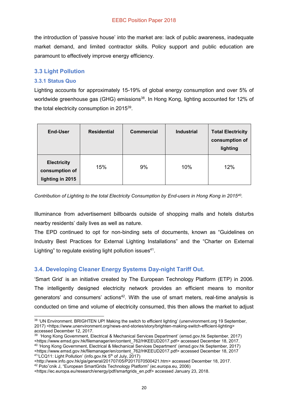the introduction of 'passive house' into the market are: lack of public awareness, inadequate market demand, and limited contractor skills. Policy support and public education are paramount to effectively improve energy efficiency.

#### **3.3 Light Pollution**

#### **3.3.1 Status Quo**

Lighting accounts for approximately 15-19% of global energy consumption and over 5% of worldwide greenhouse gas (GHG) emissions<sup>38</sup>. In Hong Kong, lighting accounted for 12% of the total electricity consumption in 2015<sup>39</sup>.

| End-User                                                 | <b>Residential</b> | <b>Commercial</b> | <b>Industrial</b> | <b>Total Electricity</b><br>consumption of<br>lighting |
|----------------------------------------------------------|--------------------|-------------------|-------------------|--------------------------------------------------------|
| <b>Electricity</b><br>consumption of<br>lighting in 2015 | 15%                | 9%                | 10%               | 12%                                                    |

*Contribution of Lighting to the total Electricity Consumption by End-users in Hong Kong in 201540.*

Illuminance from advertisement billboards outside of shopping malls and hotels disturbs nearby residents' daily lives as well as nature.

The EPD continued to opt for non-binding sets of documents, known as "Guidelines on Industry Best Practices for External Lighting Installations" and the "Charter on External Lighting" to regulate existing light pollution issues $41$ .

#### **3.4. Developing Cleaner Energy Systems Day-night Tariff Out.**

'Smart Grid' is an initiative created by The European Technology Platform (ETP) in 2006. The intelligently designed electricity network provides an efficient means to monitor generators' and consumers' actions<sup>42</sup>. With the use of smart meters, real-time analysis is conducted on time and volume of electricity consumed, this then allows the market to adjust

<sup>42</sup> Potoˇcnik J, "European SmartGrids Technology Platform" (ec.europa.eu, 2006)

 $\overline{a}$ 38 'UN Environment. BRIGHTEN UP! Making the switch to efficient lighting' (unenvironment.org 19 September, 2017) <https://www.unenvironment.org/news-and-stories/story/brighten-making-switch-efficient-lighting> accessed December 12, 2017.

<sup>39</sup> 'Hong Kong Government, Electrical & Mechanical Services Department' (emsd.gov.hk September, 2017) <https://www.emsd.gov.hk/filemanager/en/content\_762/HKEEUD2017.pdf> accessed December 18, 2017. <sup>40</sup> 'Hong Kong Government, Electrical & Mechanical Services Department' (emsd.gov.hk September, 2017) <https://www.emsd.gov.hk/filemanager/en/content\_762/HKEEUD2017.pdf> accessed December 18, 2017 <sup>41</sup>'LCQ11: Light Pollution' (info.gov.hk 5<sup>th</sup> of July, 2017)

<sup>&</sup>lt;http://www.info.gov.hk/gia/general/201707/05/P2017070500421.htm> accessed December 18, 2017.

<sup>&</sup>lt;https://ec.europa.eu/research/energy/pdf/smartgrids\_en.pdf> accessed January 23, 2018.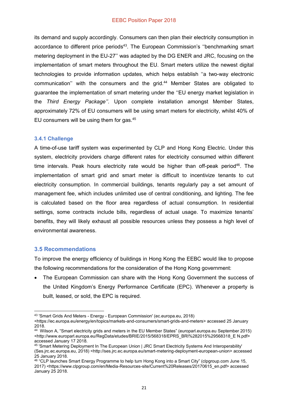#### EEBC Position Paper 2018

its demand and supply accordingly. Consumers can then plan their electricity consumption in accordance to different price periods<sup>43</sup>. The European Commission's "benchmarking smart metering deployment in the EU-27'' was adapted by the DG ENER and JRC, focusing on the implementation of smart meters throughout the EU. Smart meters utilize the newest digital technologies to provide information updates, which helps establish ''a two-way electronic communication" with the consumers and the grid.<sup>44</sup> Member States are obligated to guarantee the implementation of smart metering under the ''EU energy market legislation in the *Third Energy Package''*. Upon complete installation amongst Member States, approximately 72% of EU consumers will be using smart meters for electricity, whilst 40% of EU consumers will be using them for gas.45

#### **3.4.1 Challenge**

A time-of-use tariff system was experimented by CLP and Hong Kong Electric. Under this system, electricity providers charge different rates for electricity consumed within different time intervals. Peak hours electricity rate would be higher than off-peak period<sup>46</sup>. The implementation of smart grid and smart meter is difficult to incentivize tenants to cut electricity consumption. In commercial buildings, tenants regularly pay a set amount of management fee, which includes unlimited use of central conditioning, and lighting. The fee is calculated based on the floor area regardless of actual consumption. In residential settings, some contracts include bills, regardless of actual usage. To maximize tenants' benefits, they will likely exhaust all possible resources unless they possess a high level of environmental awareness.

#### **3.5 Recommendations**

To improve the energy efficiency of buildings in Hong Kong the EEBC would like to propose the following recommendations for the consideration of the Hong Kong government:

The European Commission can share with the Hong Kong Government the success of the United Kingdom's Energy Performance Certificate (EPC). Whenever a property is built, leased, or sold, the EPC is required.

 $\overline{a}$ <sup>43</sup> 'Smart Grids And Meters - Energy - European Commission' (ec.europa.eu, 2018)

<sup>&</sup>lt;https://ec.europa.eu/energy/en/topics/markets-and-consumers/smart-grids-and-meters> accessed 25 January 2018.

<sup>44</sup> Wilson A, "Smart electricity grids and meters in the EU Member States" (europarl.europa.eu September 2015) <http://www.europarl.europa.eu/RegData/etudes/BRIE/2015/568318/EPRS\_BRI%282015%29568318\_E N.pdf> accessed January 17 2018.

<sup>45 &#</sup>x27;Smart Metering Deployment In The European Union | JRC Smart Electricity Systems And Interoperability' (Ses.jrc.ec.europa.eu, 2018) <http://ses.jrc.ec.europa.eu/smart-metering-deployment-european-union> accessed 25 January 2018.

<sup>46</sup> "CLP launches Smart Energy Programme to help turn Hong Kong into a Smart City" (clpgroup.com June 15, 2017) <https://www.clpgroup.com/en/Media-Resources-site/Current%20Releases/20170615\_en.pdf> accessed January 25 2018.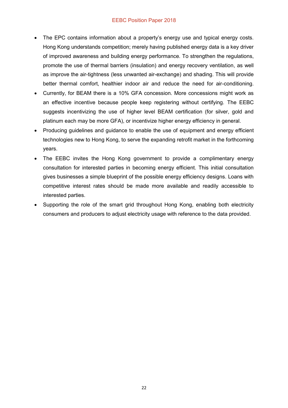#### EEBC Position Paper 2018

- The EPC contains information about a property's energy use and typical energy costs. Hong Kong understands competition; merely having published energy data is a key driver of improved awareness and building energy performance. To strengthen the regulations, promote the use of thermal barriers (insulation) and energy recovery ventilation, as well as improve the air-tightness (less unwanted air-exchange) and shading. This will provide better thermal comfort, healthier indoor air and reduce the need for air-conditioning.
- Currently, for BEAM there is a 10% GFA concession. More concessions might work as an effective incentive because people keep registering without certifying. The EEBC suggests incentivizing the use of higher level BEAM certification (for silver, gold and platinum each may be more GFA), or incentivize higher energy efficiency in general.
- Producing guidelines and guidance to enable the use of equipment and energy efficient technologies new to Hong Kong, to serve the expanding retrofit market in the forthcoming years.
- The EEBC invites the Hong Kong government to provide a complimentary energy consultation for interested parties in becoming energy efficient. This initial consultation gives businesses a simple blueprint of the possible energy efficiency designs. Loans with competitive interest rates should be made more available and readily accessible to interested parties.
- Supporting the role of the smart grid throughout Hong Kong, enabling both electricity consumers and producers to adjust electricity usage with reference to the data provided.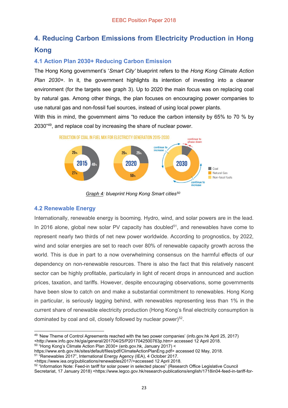#### **4. Reducing Carbon Emissions from Electricity Production in Hong Kong**

#### **4.1 Action Plan 2030+ Reducing Carbon Emission**

The Hong Kong government's '*Smart City'* blueprint refers to the *Hong Kong Climate Action Plan 2030+*. In it, the government highlights its intention of investing into a cleaner environment (for the targets see graph 3). Up to 2020 the main focus was on replacing coal by natural gas. Among other things, the plan focuses on encouraging power companies to use natural gas and non-fossil fuel sources, instead of using local power plants.

With this in mind, the government aims "to reduce the carbon intensity by 65% to 70 % by 2030"<sup>49</sup>, and replace coal by increasing the share of nuclear power.



*Graph 4: blueprint Hong Kong Smart cities50*

#### **4.2 Renewable Energy**

Internationally, renewable energy is booming. Hydro, wind, and solar powers are in the lead. In 2016 alone, global new solar PV capacity has doubled<sup>51</sup>, and renewables have come to represent nearly two thirds of net new power worldwide. According to prognostics, by 2022, wind and solar energies are set to reach over 80% of renewable capacity growth across the world. This is due in part to a now overwhelming consensus on the harmful effects of our dependency on non-renewable resources. There is also the fact that this relatively nascent sector can be highly profitable, particularly in light of recent drops in announced and auction prices, taxation, and tariffs. However, despite encouraging observations, some governments have been slow to catch on and make a substantial commitment to renewables. Hong Kong in particular, is seriously lagging behind, with renewables representing less than 1% in the current share of renewable electricity production (Hong Kong's final electricity consumption is dominated by coal and oil, closely followed by nuclear power) $52$ .

```
https://www.enb.gov.hk/sites/default/files/pdf/ClimateActionPlanEng.pdf> accessed 02 May, 2018.
```

```
51 "Renewables 2017", International Energy Agency (IEA), 4 October 2017.
```
 $\overline{a}$ <sup>49</sup> 'New Theme of Control Agreements reached with the two power companies' (info.gov.hk April 25, 2017) <http://www.info.gov.hk/gia/general/201704/25/P2017042500763p.htm> accessed 12 April 2018. <sup>50</sup> "Hong Kong's Climate Action Plan 2030+ (enb.gov.hk, January 2017) <

[<sup>&</sup>lt;https://www.iea.org/publications/renewables2017/>](https://www.iea.org/publications/renewables2017/)accessed 12 April 2018.

<sup>52</sup> "Information Note: Feed-in tariff for solar power in selected places" (Research Office Legislative Council Secretariat, 17 January 2018) [<https://www.legco.gov.hk/research-publications/english/1718in04-feed-in-tariff-for-](https://www.legco.gov.hk/research-publications/english/1718in04-feed-in-tariff-for-solar-power-in-selected-places-20180117-e.pdf)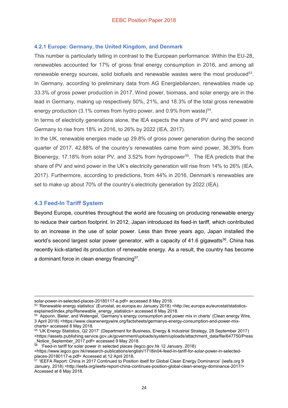#### **4.2.1 Europe: Germany, the United Kingdom, and Denmark**

This number is particularly telling in contrast to the European performance. Within the EU-28, renewables accounted for 17% of gross final energy consumption in 2016, and among all renewable energy sources, solid biofuels and renewable wastes were the most produced<sup>53</sup>. In Germany, according to preliminary data from AG Energiebilanzen, renewables made up 33.3% of gross power production in 2017. Wind power, biomass, and solar energy are in the lead in Germany, making up respectively 50%, 21%, and 18.3% of the total gross renewable energy production (3.1% comes from hydro power, and 0.9% from waste)<sup>54</sup>.

In terms of electricity generations alone, the IEA expects the share of PV and wind power in Germany to rise from 18% in 2016, to 26% by 2022 (IEA, 2017).

In the UK, renewable energies made up 29.8% of gross power generation during the second quarter of 2017. 42.88% of the country's renewables came from wind power, 36.39% from Bioenergy, 17.18% from solar PV, and 3.52% from hydropower<sup>55</sup>. The IEA predicts that the share of PV and wind power in the UK's electricity generation will rise from 14% to 26% (IEA, 2017). Furthermore, according to predictions, from 44% in 2016, Denmark's renewables are set to make up about 70% of the country's electricity generation by 2022 (IEA).

#### **4.3 Feed-In Tariff System**

 $\overline{a}$ 

Beyond Europe, countries throughout the world are focusing on producing renewable energy to reduce their carbon footprint. In 2012, Japan introduced its feed-in tariff, which contributed to an increase in the use of solar power. Less than three years ago, Japan installed the world's second largest solar power generator, with a capacity of 41.6 gigawatts<sup>56</sup>. China has recently kick-started its production of renewable energy. As a result, the country has become a dominant force in clean energy financing<sup>57</sup>.

[solar-power-in-selected-places-20180117-e.pdf>](https://www.legco.gov.hk/research-publications/english/1718in04-feed-in-tariff-for-solar-power-in-selected-places-20180117-e.pdf) accessed 8 May 2018.

 $\frac{1}{56}$  'Feed-in tariff for solar power in selected places (legco.gov.hk 12 January, 2018)

<https://www.legco.gov.hk/research-publications/english/1718in04-feed-in-tariff-for-solar-power-in-selectedplaces-20180117-e.pdf> Accessed at 12 April 2018.

<sup>53</sup> 'Renewable energy statistics' (Eurostat, ec.europa.eu January 2018) [<http://ec.europa.eu/eurostat/statistics](http://ec.europa.eu/eurostat/statistics-explained/index.php/Renewable_energy_statistics)[explained/index.php/Renewable\\_energy\\_statistics>](http://ec.europa.eu/eurostat/statistics-explained/index.php/Renewable_energy_statistics) accessed 8 May 2018.

<sup>&</sup>lt;sup>54</sup> Appunn, Bieler, and Wetengel, 'Germany's energy consumption and power mix in charts' (Clean energy Wire, 3 April 2018) [<https://www.cleanenergywire.org/factsheets/germanys-energy-consumption-and-power-mix](https://www.cleanenergywire.org/factsheets/germanys-energy-consumption-and-power-mix-charts)[charts>](https://www.cleanenergywire.org/factsheets/germanys-energy-consumption-and-power-mix-charts) accessed 8 May 2018.

<sup>55</sup> 'UK Energy Statistics, Q2 2017' (Department for Business, Energy & Industrial Strategy, 28 September 2017) [<https://assets.publishing.service.gov.uk/government/uploads/system/uploads/attachment\\_data/file/647750/Press](https://assets.publishing.service.gov.uk/government/uploads/system/uploads/attachment_data/file/647750/Press_Notice_September_2017.pdf) [\\_Notice\\_September\\_2017.pdf>](https://assets.publishing.service.gov.uk/government/uploads/system/uploads/attachment_data/file/647750/Press_Notice_September_2017.pdf) accessed 9 May 2018.

<sup>&</sup>lt;sup>57</sup> 'IEEFA Report: China in 2017 Continued to Position itself for Global Clean Energy Dominance' (ieefa.org 9 January, 2018) <http://ieefa.org/ieefa-report-china-continues-position-global-clean-energy-dominance-2017/> Accessed at 8 May 2018.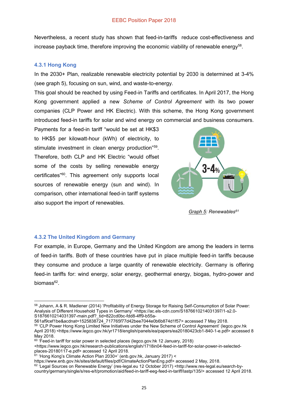Nevertheless, a recent study has shown that feed-in-tariffs reduce cost-effectiveness and increase payback time, therefore improving the economic viability of renewable energy<sup>58</sup>.

#### **4.3.1 Hong Kong**

In the 2030+ Plan, realizable renewable electricity potential by 2030 is determined at 3-4% (see graph 5), focusing on sun, wind, and waste-to-energy.

This goal should be reached by using Feed-in Tariffs and certificates. In April 2017, the Hong Kong government applied a new *Scheme of Control Agreement* with its two power companies (CLP Power and HK Electric). With this scheme, the Hong Kong government introduced feed-in tariffs for solar and wind energy on commercial and business consumers.

Payments for a feed-in tariff "would be set at HK\$3 to HK\$5 per kilowatt-hour (kWh) of electricity, to stimulate investment in clean energy production<sup>"59</sup>. Therefore, both CLP and HK Electric "would offset some of the costs by selling renewable energy certificates"60. This agreement only supports local sources of renewable energy (sun and wind). In comparison, other international feed-in tariff systems also support the import of renewables.



*Graph 5: Renewables61*

#### **4.3.2 The United Kingdom and Germany**

For example, in Europe, Germany and the United Kingdom are among the leaders in terms of feed-in tariffs. Both of these countries have put in place multiple feed-in tariffs because they consume and produce a large quantity of renewable electricity. Germany is offering feed-in tariffs for: wind energy, solar energy, geothermal energy, biogas, hydro-power and biomass<sup>62</sup>.

561af9cef1be&acdnat=1525838724\_717765f77d42bee7044e0b6b874d1f57> accessed 7 May 2018.

<https://www.legco.gov.hk/research-publications/english/1718in04-feed-in-tariff-for-solar-power-in-selectedplaces-20180117-e.pdf> accessed 12 April 2018.

62 'Legal Sources on Renewable Energy' (res-legal.eu 12 October 2017) <http://www.res-legal.eu/search-bycountry/germany/single/s/res-e/t/promotion/aid/feed-in-tariff-eeg-feed-in-tariff/lastp/135/> accessed 12 April 2018.

<sup>1</sup> <sup>58</sup> Johann, A & R. Madlener (2014) 'Profitability of Energy Storage for Raising Self-Consumption of Solar Power: Analysis of Different Household Types in Germany' <https://ac.els-cdn.com/S1876610214031397/1-s2.0- S1876610214031397-main.pdf?\_tid=822cd0bc-fdd8-4ff9-b55a-

<sup>59 &#</sup>x27;CLP Power Hong Kong Limited New Initiatives under the New Scheme of Control Agreement' (legco.gov.hk April 2018) <https://www.legco.gov.hk/yr1718/english/panels/ea/papers/ea20180423cb1-840-1-e.pdf> accessed 8 May 2018.

<sup>&</sup>lt;sup>60</sup> 'Feed-in tariff for solar power in selected places (legco.gov.hk 12 January, 2018)

<sup>&</sup>lt;sup>61</sup> 'Hong Kong's Climate Action Plan 2030+' (enb.gov.hk, January 2017) <

[https://www.enb.gov.hk/sites/default/files/pdf/ClimateActionPlanEng.pdf>](https://www.enb.gov.hk/sites/default/files/pdf/ClimateActionPlanEng.pdf) accessed 2 May, 2018.